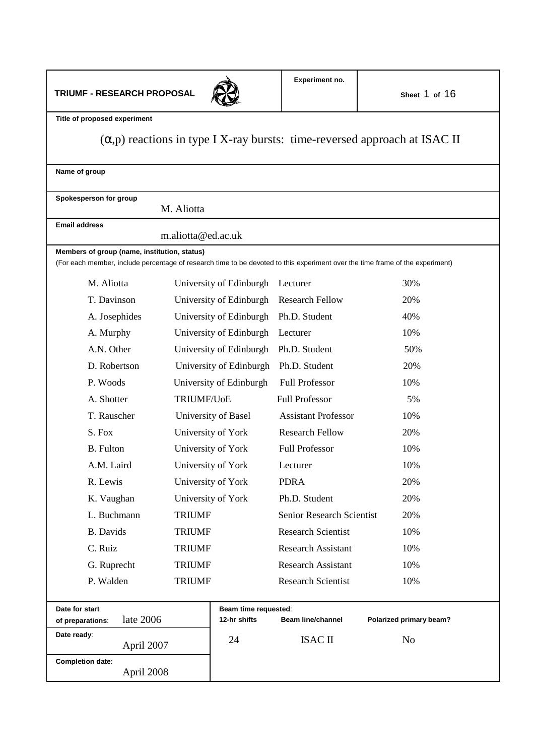# **TRIUMF - RESEARCH PROPOSAL**



**Title of proposed experiment**

# (α,p) reactions in type I X-ray bursts: time-reversed approach at ISAC II

| Name of group                                                                                                                                                                 |                         |                                  |                         |  |  |  |  |
|-------------------------------------------------------------------------------------------------------------------------------------------------------------------------------|-------------------------|----------------------------------|-------------------------|--|--|--|--|
| Spokesperson for group<br>M. Aliotta                                                                                                                                          |                         |                                  |                         |  |  |  |  |
| <b>Email address</b>                                                                                                                                                          |                         |                                  |                         |  |  |  |  |
|                                                                                                                                                                               | m.aliotta@ed.ac.uk      |                                  |                         |  |  |  |  |
| Members of group (name, institution, status)<br>(For each member, include percentage of research time to be devoted to this experiment over the time frame of the experiment) |                         |                                  |                         |  |  |  |  |
| M. Aliotta                                                                                                                                                                    | University of Edinburgh | Lecturer                         | 30%                     |  |  |  |  |
| T. Davinson                                                                                                                                                                   | University of Edinburgh | <b>Research Fellow</b>           | 20%                     |  |  |  |  |
| A. Josephides                                                                                                                                                                 | University of Edinburgh | Ph.D. Student                    | 40%                     |  |  |  |  |
| A. Murphy                                                                                                                                                                     | University of Edinburgh | Lecturer                         | 10%                     |  |  |  |  |
| A.N. Other                                                                                                                                                                    | University of Edinburgh | Ph.D. Student                    | 50%                     |  |  |  |  |
| D. Robertson                                                                                                                                                                  | University of Edinburgh | Ph.D. Student                    | 20%                     |  |  |  |  |
| P. Woods                                                                                                                                                                      | University of Edinburgh | <b>Full Professor</b>            | 10%                     |  |  |  |  |
| A. Shotter                                                                                                                                                                    | TRIUMF/UoE              | <b>Full Professor</b>            | 5%                      |  |  |  |  |
| T. Rauscher                                                                                                                                                                   | University of Basel     | <b>Assistant Professor</b>       | 10%                     |  |  |  |  |
| S. Fox                                                                                                                                                                        | University of York      | <b>Research Fellow</b>           | 20%                     |  |  |  |  |
| <b>B.</b> Fulton                                                                                                                                                              | University of York      | <b>Full Professor</b>            | 10%                     |  |  |  |  |
| A.M. Laird                                                                                                                                                                    | University of York      | Lecturer                         | 10%                     |  |  |  |  |
| R. Lewis                                                                                                                                                                      | University of York      | <b>PDRA</b>                      | 20%                     |  |  |  |  |
| K. Vaughan                                                                                                                                                                    | University of York      | Ph.D. Student                    | 20%                     |  |  |  |  |
| L. Buchmann                                                                                                                                                                   | <b>TRIUMF</b>           | <b>Senior Research Scientist</b> | 20%                     |  |  |  |  |
| <b>B.</b> Davids                                                                                                                                                              | <b>TRIUMF</b>           | <b>Research Scientist</b>        | 10%                     |  |  |  |  |
| C. Ruiz                                                                                                                                                                       | <b>TRIUMF</b>           | <b>Research Assistant</b>        | 10%                     |  |  |  |  |
| G. Ruprecht                                                                                                                                                                   | <b>TRIUMF</b>           | <b>Research Assistant</b>        | 10%                     |  |  |  |  |
| P. Walden                                                                                                                                                                     | <b>TRIUMF</b>           | <b>Research Scientist</b>        | 10%                     |  |  |  |  |
| Date for start<br>Beam time requested:                                                                                                                                        |                         |                                  |                         |  |  |  |  |
| late 2006<br>of preparations:                                                                                                                                                 | 12-hr shifts            | <b>Beam line/channel</b>         | Polarized primary beam? |  |  |  |  |
| Date ready:<br>April 2007                                                                                                                                                     | 24                      | <b>ISAC II</b>                   | N <sub>o</sub>          |  |  |  |  |
| Completion date:<br>April 2008                                                                                                                                                |                         |                                  |                         |  |  |  |  |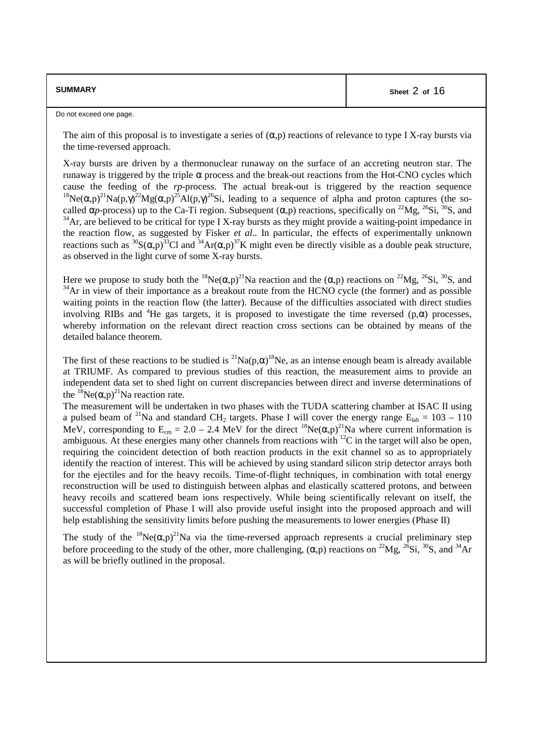| <b>SUMMARY</b> | Sheet 2 of 16 |
|----------------|---------------|
|----------------|---------------|

Do not exceed one page.

The aim of this proposal is to investigate a series of  $(\alpha, p)$  reactions of relevance to type I X-ray bursts via the time-reversed approach.

X-ray bursts are driven by a thermonuclear runaway on the surface of an accreting neutron star. The runaway is triggered by the triple α process and the break-out reactions from the Hot-CNO cycles which cause the feeding of the *rp*-process. The actual break-out is triggered by the reaction sequence <sup>18</sup>Ne( $\alpha$ ,p)<sup>21</sup>Na(p, $\gamma$ )<sup>22</sup>Mg( $\alpha$ ,p)<sup>25</sup>Al(p, $\gamma$ )<sup>26</sup>Si, leading to a sequence of alpha and proton captures (the socalled  $\alpha_p$ -process) up to the Ca-Ti region. Subsequent ( $\alpha$ ,p) reactions, specifically on <sup>22</sup>Mg, <sup>26</sup>Si, <sup>30</sup>S, and  $34$ Ar, are believed to be critical for type I X-ray bursts as they might provide a waiting-point impedance in the reaction flow, as suggested by Fisker *et al*.. In particular, the effects of experimentally unknown reactions such as  ${}^{30}S(\alpha,p)^{33}Cl$  and  ${}^{34}Ar(\alpha,p)^{37}K$  might even be directly visible as a double peak structure, as observed in the light curve of some X-ray bursts.

Here we propose to study both the <sup>18</sup>Ne( $\alpha$ ,p)<sup>21</sup>Na reaction and the ( $\alpha$ ,p) reactions on <sup>22</sup>Mg, <sup>26</sup>Si, <sup>30</sup>S, and  $34$ Ar in view of their importance as a breakout route from the HCNO cycle (the former) and as possible waiting points in the reaction flow (the latter). Because of the difficulties associated with direct studies involving RIBs and <sup>4</sup>He gas targets, it is proposed to investigate the time reversed (p, $\alpha$ ) processes, whereby information on the relevant direct reaction cross sections can be obtained by means of the detailed balance theorem.

The first of these reactions to be studied is <sup>21</sup>Na(p, $\alpha$ )<sup>18</sup>Ne, as an intense enough beam is already available at TRIUMF. As compared to previous studies of this reaction, the measurement aims to provide an independent data set to shed light on current discrepancies between direct and inverse determinations of the  ${}^{18}Ne(\alpha,p)^{21}Na$  reaction rate.

The measurement will be undertaken in two phases with the TUDA scattering chamber at ISAC II using a pulsed beam of <sup>21</sup>Na and standard CH<sub>2</sub> targets. Phase I will cover the energy range  $E_{lab} = 103 - 110$ MeV, corresponding to  $E_{cm} = 2.0 - 2.4$  MeV for the direct <sup>18</sup>Ne( $\alpha$ ,p)<sup>21</sup>Na where current information is ambiguous. At these energies many other channels from reactions with  ${}^{12}C$  in the target will also be open, requiring the coincident detection of both reaction products in the exit channel so as to appropriately identify the reaction of interest. This will be achieved by using standard silicon strip detector arrays both for the ejectiles and for the heavy recoils. Time-of-flight techniques, in combination with total energy reconstruction will be used to distinguish between alphas and elastically scattered protons, and between heavy recoils and scattered beam ions respectively. While being scientifically relevant on itself, the successful completion of Phase I will also provide useful insight into the proposed approach and will help establishing the sensitivity limits before pushing the measurements to lower energies (Phase II)

The study of the  $^{18}Ne(\alpha, p)^{21}Na$  via the time-reversed approach represents a crucial preliminary step before proceeding to the study of the other, more challenging,  $(\alpha, p)$  reactions on <sup>22</sup>Mg, <sup>26</sup>Si, <sup>30</sup>S, and <sup>34</sup>Ar as will be briefly outlined in the proposal.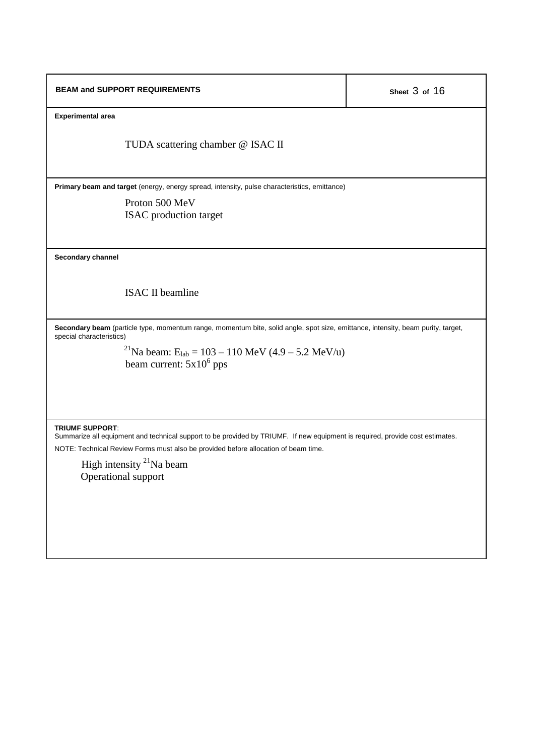| <b>BEAM and SUPPORT REQUIREMENTS</b>                                                                                                                         | Sheet 3 of 16 |  |  |  |
|--------------------------------------------------------------------------------------------------------------------------------------------------------------|---------------|--|--|--|
| <b>Experimental area</b>                                                                                                                                     |               |  |  |  |
| TUDA scattering chamber @ ISAC II                                                                                                                            |               |  |  |  |
| Primary beam and target (energy, energy spread, intensity, pulse characteristics, emittance)                                                                 |               |  |  |  |
| Proton 500 MeV                                                                                                                                               |               |  |  |  |
| ISAC production target                                                                                                                                       |               |  |  |  |
|                                                                                                                                                              |               |  |  |  |
| Secondary channel                                                                                                                                            |               |  |  |  |
| <b>ISAC II beamline</b>                                                                                                                                      |               |  |  |  |
| Secondary beam (particle type, momentum range, momentum bite, solid angle, spot size, emittance, intensity, beam purity, target,<br>special characteristics) |               |  |  |  |
| <sup>21</sup> Na beam: E <sub>lab</sub> = 103 – 110 MeV (4.9 – 5.2 MeV/u)                                                                                    |               |  |  |  |
| beam current: $5x10^6$ pps                                                                                                                                   |               |  |  |  |
|                                                                                                                                                              |               |  |  |  |
|                                                                                                                                                              |               |  |  |  |
|                                                                                                                                                              |               |  |  |  |
| <b>TRIUMF SUPPORT:</b><br>Summarize all equipment and technical support to be provided by TRIUMF. If new equipment is required, provide cost estimates.      |               |  |  |  |
| NOTE: Technical Review Forms must also be provided before allocation of beam time.                                                                           |               |  |  |  |
| High intensity <sup>21</sup> Na beam                                                                                                                         |               |  |  |  |

Operational support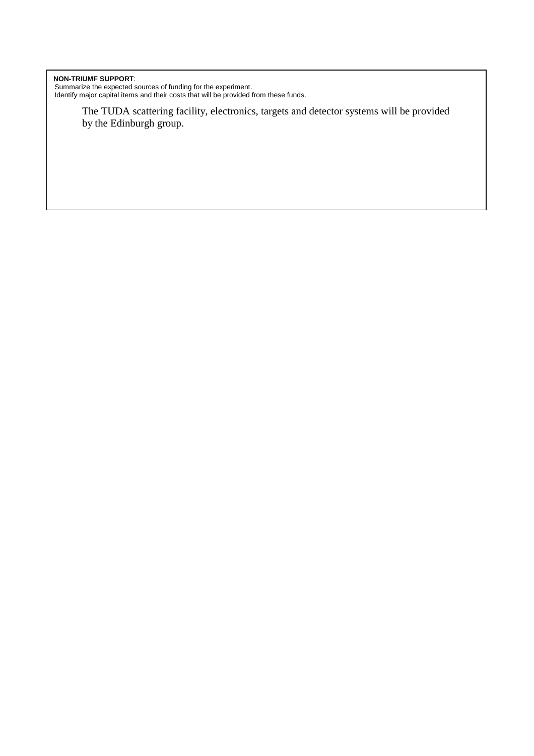#### **NON-TRIUMF SUPPORT**:

Summarize the expected sources of funding for the experiment. Identify major capital items and their costs that will be provided from these funds.

> The TUDA scattering facility, electronics, targets and detector systems will be provided by the Edinburgh group.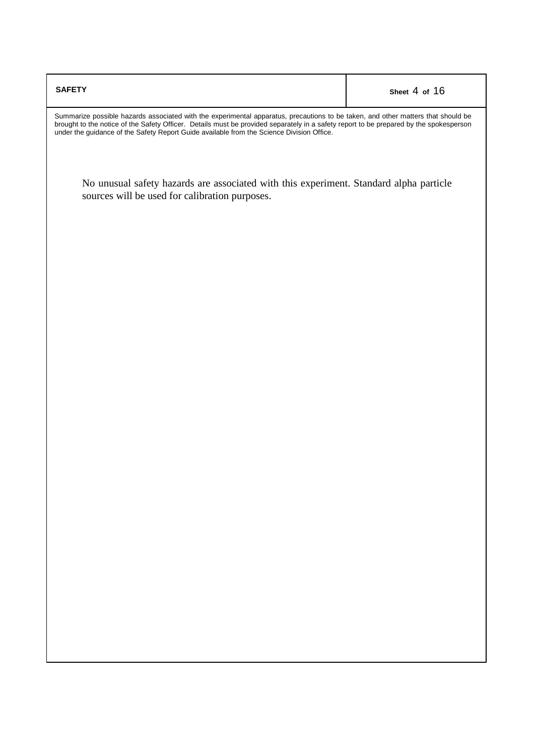| <b>SAFETY</b>                                                                                                                                                                                                                                                                                                                                                           | Sheet 4 of 16 |  |  |  |  |
|-------------------------------------------------------------------------------------------------------------------------------------------------------------------------------------------------------------------------------------------------------------------------------------------------------------------------------------------------------------------------|---------------|--|--|--|--|
| Summarize possible hazards associated with the experimental apparatus, precautions to be taken, and other matters that should be<br>brought to the notice of the Safety Officer. Details must be provided separately in a safety report to be prepared by the spokesperson<br>under the guidance of the Safety Report Guide available from the Science Division Office. |               |  |  |  |  |
| No unusual safety hazards are associated with this experiment. Standard alpha particle<br>sources will be used for calibration purposes.                                                                                                                                                                                                                                |               |  |  |  |  |
|                                                                                                                                                                                                                                                                                                                                                                         |               |  |  |  |  |
|                                                                                                                                                                                                                                                                                                                                                                         |               |  |  |  |  |
|                                                                                                                                                                                                                                                                                                                                                                         |               |  |  |  |  |
|                                                                                                                                                                                                                                                                                                                                                                         |               |  |  |  |  |
|                                                                                                                                                                                                                                                                                                                                                                         |               |  |  |  |  |
|                                                                                                                                                                                                                                                                                                                                                                         |               |  |  |  |  |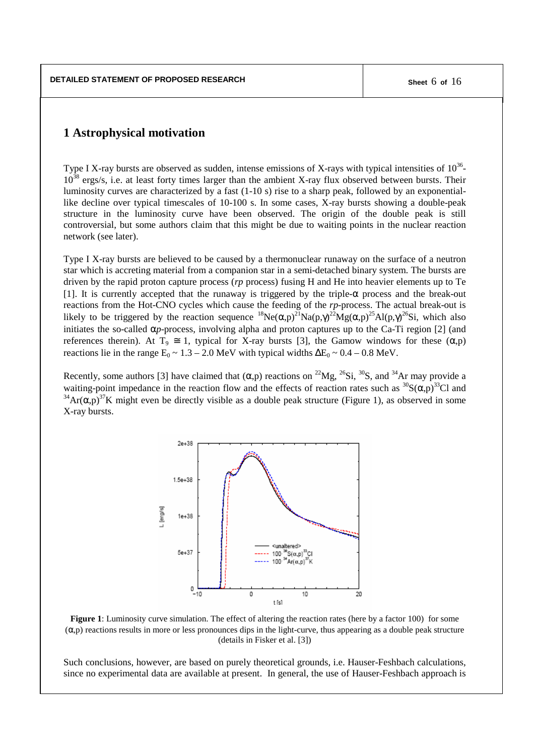# **1 Astrophysical motivation**

Type I X-ray bursts are observed as sudden, intense emissions of X-rays with typical intensities of  $10^{36}$ - $10^{38}$  ergs/s, i.e. at least forty times larger than the ambient X-ray flux observed between bursts. Their luminosity curves are characterized by a fast (1-10 s) rise to a sharp peak, followed by an exponentiallike decline over typical timescales of 10-100 s. In some cases, X-ray bursts showing a double-peak structure in the luminosity curve have been observed. The origin of the double peak is still controversial, but some authors claim that this might be due to waiting points in the nuclear reaction network (see later).

Type I X-ray bursts are believed to be caused by a thermonuclear runaway on the surface of a neutron star which is accreting material from a companion star in a semi-detached binary system. The bursts are driven by the rapid proton capture process (*rp* process) fusing H and He into heavier elements up to Te [1]. It is currently accepted that the runaway is triggered by the triple- $\alpha$  process and the break-out reactions from the Hot-CNO cycles which cause the feeding of the *rp*-process. The actual break-out is likely to be triggered by the reaction sequence  ${}^{18}Ne(\alpha,p)^{21}Na(p,\gamma)^{22}Mg(\alpha,p)^{25}Al(p,\gamma)^{26}Si$ , which also initiates the so-called  $\alpha_p$ -process, involving alpha and proton captures up to the Ca-Ti region [2] (and references therein). At  $T_9 \cong 1$ , typical for X-ray bursts [3], the Gamow windows for these  $(\alpha, p)$ reactions lie in the range  $E_0 \sim 1.3 - 2.0$  MeV with typical widths  $\Delta E_0 \sim 0.4 - 0.8$  MeV.

Recently, some authors [3] have claimed that  $(\alpha, p)$  reactions on <sup>22</sup>Mg, <sup>26</sup>Si, <sup>30</sup>S, and <sup>34</sup>Ar may provide a waiting-point impedance in the reaction flow and the effects of reaction rates such as  ${}^{30}S(\alpha,p)^{33}Cl$  and  $34\text{Ar}(\alpha, p)^{37}\text{K}$  might even be directly visible as a double peak structure (Figure 1), as observed in some X-ray bursts.



**Figure 1**: Luminosity curve simulation. The effect of altering the reaction rates (here by a factor 100) for some  $(\alpha, p)$  reactions results in more or less pronounces dips in the light-curve, thus appearing as a double peak structure (details in Fisker et al. [3])

Such conclusions, however, are based on purely theoretical grounds, i.e. Hauser-Feshbach calculations, since no experimental data are available at present. In general, the use of Hauser-Feshbach approach is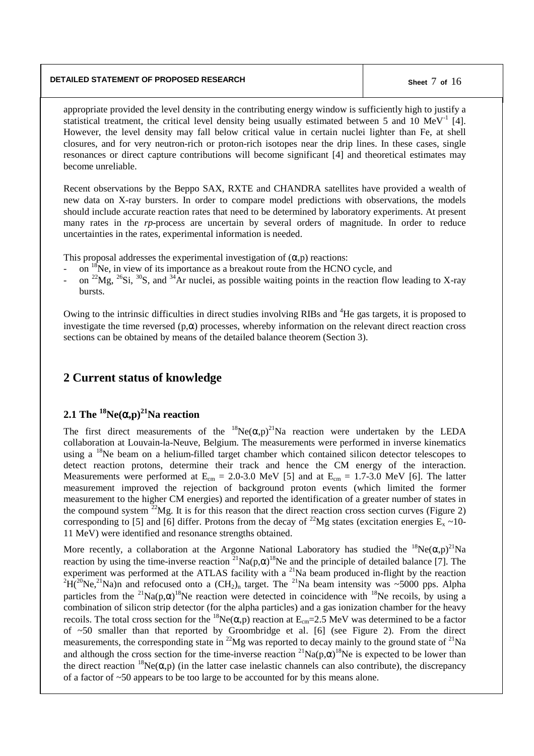### **DETAILED STATEMENT OF PROPOSED RESEARCH Sheet** 7 **of** 16

appropriate provided the level density in the contributing energy window is sufficiently high to justify a statistical treatment, the critical level density being usually estimated between 5 and 10  $MeV<sup>-1</sup>$  [4]. However, the level density may fall below critical value in certain nuclei lighter than Fe, at shell closures, and for very neutron-rich or proton-rich isotopes near the drip lines. In these cases, single resonances or direct capture contributions will become significant [4] and theoretical estimates may become unreliable.

Recent observations by the Beppo SAX, RXTE and CHANDRA satellites have provided a wealth of new data on X-ray bursters. In order to compare model predictions with observations, the models should include accurate reaction rates that need to be determined by laboratory experiments. At present many rates in the *rp*-process are uncertain by several orders of magnitude. In order to reduce uncertainties in the rates, experimental information is needed.

This proposal addresses the experimental investigation of  $(\alpha, p)$  reactions:

- on <sup>18</sup>Ne, in view of its importance as a breakout route from the HCNO cycle, and
- on <sup>22</sup>Mg, <sup>26</sup>Si, <sup>30</sup>S, and <sup>34</sup>Ar nuclei, as possible waiting points in the reaction flow leading to X-ray bursts.

Owing to the intrinsic difficulties in direct studies involving RIBs and <sup>4</sup>He gas targets, it is proposed to investigate the time reversed  $(p, \alpha)$  processes, whereby information on the relevant direct reaction cross sections can be obtained by means of the detailed balance theorem (Section 3).

# **2 Current status of knowledge**

# **2.1 The <sup>18</sup>Ne(**α**,p) <sup>21</sup>Na reaction**

The first direct measurements of the  ${}^{18}Ne(\alpha,p)^{21}Na$  reaction were undertaken by the LEDA collaboration at Louvain-la-Neuve, Belgium. The measurements were performed in inverse kinematics using a <sup>18</sup>Ne beam on a helium-filled target chamber which contained silicon detector telescopes to detect reaction protons, determine their track and hence the CM energy of the interaction. Measurements were performed at  $E_{cm} = 2.0{\text -}3.0 \text{ MeV}$  [5] and at  $E_{cm} = 1.7{\text -}3.0 \text{ MeV}$  [6]. The latter measurement improved the rejection of background proton events (which limited the former measurement to the higher CM energies) and reported the identification of a greater number of states in the compound system  $2^{2}Mg$ . It is for this reason that the direct reaction cross section curves (Figure 2) corresponding to [5] and [6] differ. Protons from the decay of <sup>22</sup>Mg states (excitation energies  $\bar{E}_x \sim 10$ -11 MeV) were identified and resonance strengths obtained.

More recently, a collaboration at the Argonne National Laboratory has studied the  $^{18}Ne(\alpha, p)^{21}Na$ reaction by using the time-inverse reaction <sup>21</sup>Na(p, $\alpha$ )<sup>18</sup>Ne and the principle of detailed balance [7]. The experiment was performed at the ATLAS facility with a  $^{21}$ Na beam produced in-flight by the reaction  ${}^{2}H(^{20}Ne, {}^{21}Na)$ n and refocused onto a  $(CH_{2})_{n}$  target. The  ${}^{21}Na$  beam intensity was ~5000 pps. Alpha particles from the <sup>21</sup>Na(p, $\alpha$ )<sup>18</sup>Ne reaction were detected in coincidence with <sup>18</sup>Ne recoils, by using a combination of silicon strip detector (for the alpha particles) and a gas ionization chamber for the heavy recoils. The total cross section for the <sup>18</sup>Ne(α,p) reaction at  $E_{cm}$ =2.5 MeV was determined to be a factor of ~50 smaller than that reported by Groombridge et al. [6] (see Figure 2). From the direct measurements, the corresponding state in  $^{22}Mg$  was reported to decay mainly to the ground state of  $^{21}Na$ and although the cross section for the time-inverse reaction  $^{21}Na(p,\alpha)^{18}Ne$  is expected to be lower than the direct reaction <sup>18</sup>Ne( $\alpha$ ,p) (in the latter case inelastic channels can also contribute), the discrepancy of a factor of ~50 appears to be too large to be accounted for by this means alone.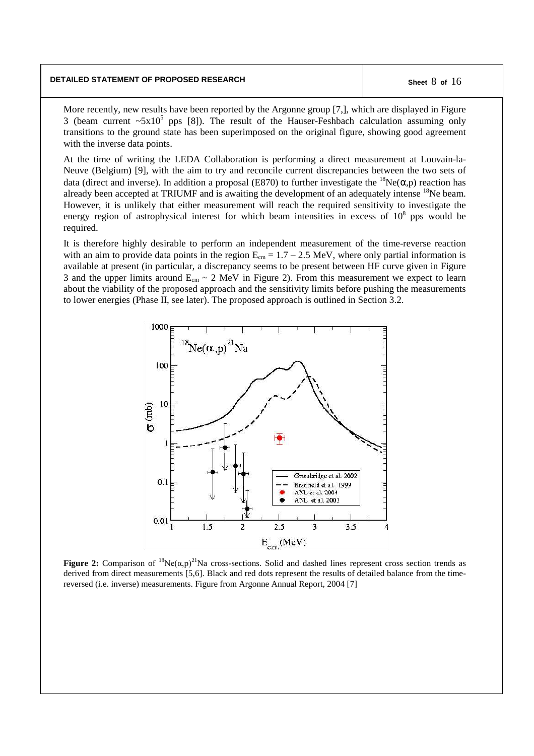#### **DETAILED STATEMENT OF PROPOSED RESEARCH Sheet** 8 **of** 16

More recently, new results have been reported by the Argonne group [7,], which are displayed in Figure 3 (beam current  $\sim 5x10^5$  pps [8]). The result of the Hauser-Feshbach calculation assuming only transitions to the ground state has been superimposed on the original figure, showing good agreement with the inverse data points.

At the time of writing the LEDA Collaboration is performing a direct measurement at Louvain-la-Neuve (Belgium) [9], with the aim to try and reconcile current discrepancies between the two sets of data (direct and inverse). In addition a proposal (E870) to further investigate the  ${}^{18}Ne(\alpha,p)$  reaction has already been accepted at TRIUMF and is awaiting the development of an adequately intense <sup>18</sup>Ne beam. However, it is unlikely that either measurement will reach the required sensitivity to investigate the energy region of astrophysical interest for which beam intensities in excess of  $10<sup>8</sup>$  pps would be required.

It is therefore highly desirable to perform an independent measurement of the time-reverse reaction with an aim to provide data points in the region  $E_{cm} = 1.7 - 2.5$  MeV, where only partial information is available at present (in particular, a discrepancy seems to be present between HF curve given in Figure 3 and the upper limits around  $E_{cm} \sim 2 \text{ MeV}$  in Figure 2). From this measurement we expect to learn about the viability of the proposed approach and the sensitivity limits before pushing the measurements to lower energies (Phase II, see later). The proposed approach is outlined in Section 3.2.



**Figure 2:** Comparison of  ${}^{18}Ne(\alpha, p)^{21}Na$  cross-sections. Solid and dashed lines represent cross section trends as derived from direct measurements [5,6]. Black and red dots represent the results of detailed balance from the timereversed (i.e. inverse) measurements. Figure from Argonne Annual Report, 2004 [7]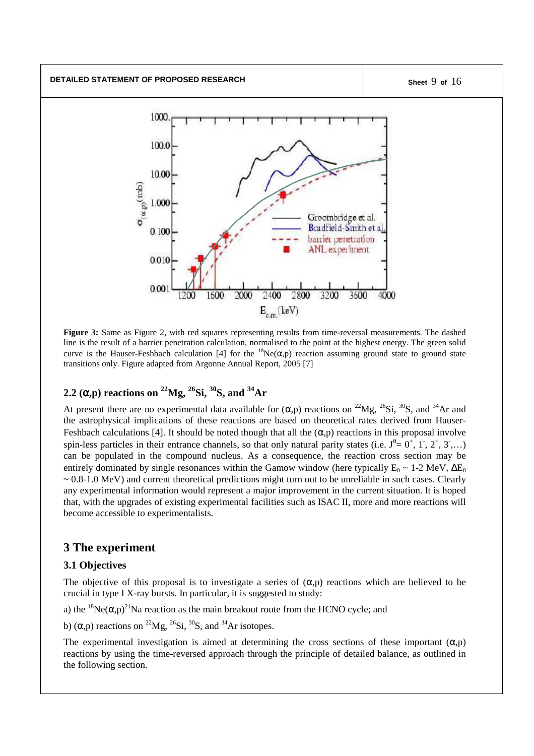**DETAILED STATEMENT OF PROPOSED RESEARCH Sheet** 9 **of** 16



**Figure 3:** Same as Figure 2, with red squares representing results from time-reversal measurements. The dashed line is the result of a barrier penetration calculation, normalised to the point at the highest energy. The green solid curve is the Hauser-Feshbach calculation [4] for the  ${}^{18}Ne(\alpha,p)$  reaction assuming ground state to ground state transitions only. Figure adapted from Argonne Annual Report, 2005 [7]

# **2.2 (**α**,p) reactions on <sup>22</sup>Mg, 26 Si, 30 S, and <sup>34</sup>Ar**

At present there are no experimental data available for  $(\alpha, p)$  reactions on <sup>22</sup>Mg, <sup>26</sup>Si, <sup>30</sup>S, and <sup>34</sup>Ar and the astrophysical implications of these reactions are based on theoretical rates derived from Hauser-Feshbach calculations [4]. It should be noted though that all the  $(\alpha, p)$  reactions in this proposal involve spin-less particles in their entrance channels, so that only natural parity states (i.e.  $J^{\pi} = 0^+, 1^-, 2^+, 3^-, \ldots$ ) can be populated in the compound nucleus. As a consequence, the reaction cross section may be entirely dominated by single resonances within the Gamow window (here typically  $E_0 \sim 1$ -2 MeV,  $\Delta E_0$ )  $\sim 0.8{\text -}1.0$  MeV) and current theoretical predictions might turn out to be unreliable in such cases. Clearly any experimental information would represent a major improvement in the current situation. It is hoped that, with the upgrades of existing experimental facilities such as ISAC II, more and more reactions will become accessible to experimentalists.

# **3 The experiment**

# **3.1 Objectives**

The objective of this proposal is to investigate a series of  $(\alpha, p)$  reactions which are believed to be crucial in type I X-ray bursts. In particular, it is suggested to study:

a) the  ${}^{18}Ne(\alpha, p)^{21}Na$  reaction as the main breakout route from the HCNO cycle; and

b)  $(\alpha, p)$  reactions on <sup>22</sup>Mg, <sup>26</sup>Si, <sup>30</sup>S, and <sup>34</sup>Ar isotopes.

The experimental investigation is aimed at determining the cross sections of these important  $(\alpha, p)$ reactions by using the time-reversed approach through the principle of detailed balance, as outlined in the following section.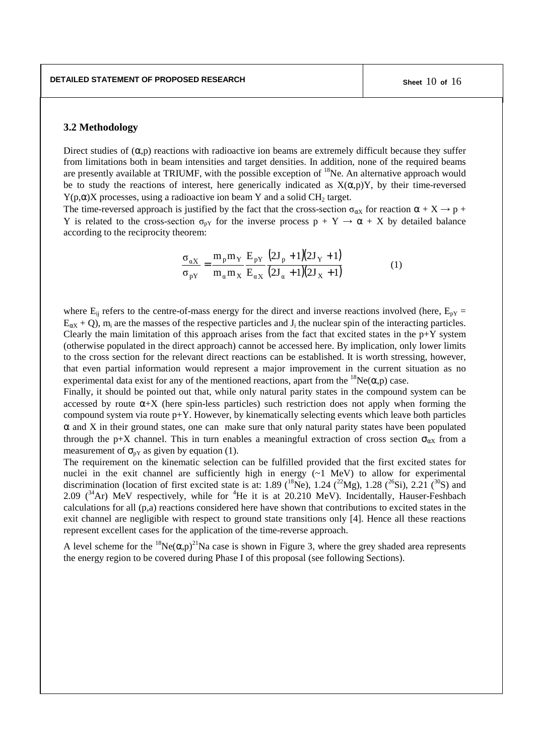### **3.2 Methodology**

Direct studies of  $(\alpha, p)$  reactions with radioactive ion beams are extremely difficult because they suffer from limitations both in beam intensities and target densities. In addition, none of the required beams are presently available at TRIUMF, with the possible exception of <sup>18</sup>Ne. An alternative approach would be to study the reactions of interest, here generically indicated as  $X(\alpha,p)Y$ , by their time-reversed Y(p, $\alpha$ )X processes, using a radioactive ion beam Y and a solid CH<sub>2</sub> target.

The time-reversed approach is justified by the fact that the cross-section  $\sigma_{\alpha X}$  for reaction  $\alpha + X \rightarrow p +$ Y is related to the cross-section  $\sigma_{pY}$  for the inverse process  $p + Y \rightarrow \alpha + X$  by detailed balance according to the reciprocity theorem:

$$
\frac{\sigma_{aX}}{\sigma_{pY}} = \frac{m_p m_Y}{m_a m_X} \frac{E_{pY}}{E_{aX}} \frac{(2J_p + 1)(2J_Y + 1)}{(2J_a + 1)(2J_X + 1)} \tag{1}
$$

where  $E_{ii}$  refers to the centre-of-mass energy for the direct and inverse reactions involved (here,  $E_{pY}$  =  $E_{\alpha X} + Q$ ),  $m_i$  are the masses of the respective particles and  $J_i$  the nuclear spin of the interacting particles. Clearly the main limitation of this approach arises from the fact that excited states in the  $p+Y$  system (otherwise populated in the direct approach) cannot be accessed here. By implication, only lower limits to the cross section for the relevant direct reactions can be established. It is worth stressing, however, that even partial information would represent a major improvement in the current situation as no experimental data exist for any of the mentioned reactions, apart from the  ${}^{18}Ne(\alpha,p)$  case.

Finally, it should be pointed out that, while only natural parity states in the compound system can be accessed by route  $\alpha$ +X (here spin-less particles) such restriction does not apply when forming the compound system via route  $p+Y$ . However, by kinematically selecting events which leave both particles  $\alpha$  and X in their ground states, one can make sure that only natural parity states have been populated through the p+X channel. This in turn enables a meaningful extraction of cross section  $\sigma_{\alpha X}$  from a measurement of  $\sigma_{pY}$  as given by equation (1).

The requirement on the kinematic selection can be fulfilled provided that the first excited states for nuclei in the exit channel are sufficiently high in energy  $(\sim 1 \text{ MeV})$  to allow for experimental discrimination (location of first excited state is at: 1.89 (<sup>18</sup>Ne), 1.24 (<sup>22</sup>Mg), 1.28 (<sup>26</sup>Si), 2.21 (<sup>30</sup>S) and 2.09  $(^{34}Ar)$  MeV respectively, while for <sup>4</sup>He it is at 20.210 MeV). Incidentally, Hauser-Feshbach calculations for all (p,a) reactions considered here have shown that contributions to excited states in the exit channel are negligible with respect to ground state transitions only [4]. Hence all these reactions represent excellent cases for the application of the time-reverse approach.

A level scheme for the  ${}^{18}Ne(\alpha,p)^{21}Na$  case is shown in Figure 3, where the grey shaded area represents the energy region to be covered during Phase I of this proposal (see following Sections).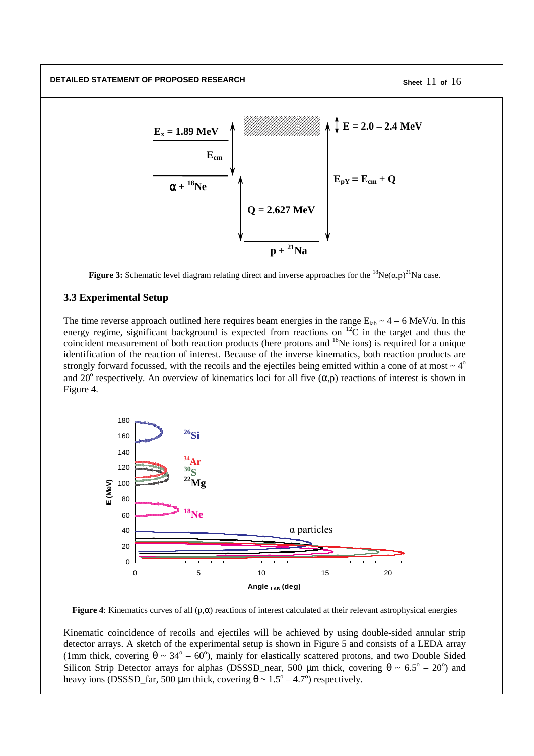**DETAILED STATEMENT OF PROPOSED RESEARCH Sheet** 11 **of** 16



**Figure 3:** Schematic level diagram relating direct and inverse approaches for the  ${}^{18}Ne(\alpha,p)^{21}Na$  case.

### **3.3 Experimental Setup**

The time reverse approach outlined here requires beam energies in the range  $E_{lab} \sim 4 - 6$  MeV/u. In this energy regime, significant background is expected from reactions on  $^{12}C$  in the target and thus the coincident measurement of both reaction products (here protons and <sup>18</sup>Ne ions) is required for a unique identification of the reaction of interest. Because of the inverse kinematics, both reaction products are strongly forward focussed, with the recoils and the ejectiles being emitted within a cone of at most  $\sim 4^{\circ}$ and 20<sup>°</sup> respectively. An overview of kinematics loci for all five  $(\alpha, p)$  reactions of interest is shown in Figure 4.



**Figure 4:** Kinematics curves of all  $(p, \alpha)$  reactions of interest calculated at their relevant astrophysical energies

Kinematic coincidence of recoils and ejectiles will be achieved by using double-sided annular strip detector arrays. A sketch of the experimental setup is shown in Figure 5 and consists of a LEDA array (1mm thick, covering  $\theta \sim 34^{\circ} - 60^{\circ}$ ), mainly for elastically scattered protons, and two Double Sided Silicon Strip Detector arrays for alphas (DSSSD\_near, 500  $\mu$ m thick, covering  $\theta \sim 6.5^{\circ} - 20^{\circ}$ ) and heavy ions (DSSSD\_far, 500  $\mu$ m thick, covering  $\theta \sim 1.5^{\circ} - 4.7^{\circ}$ ) respectively.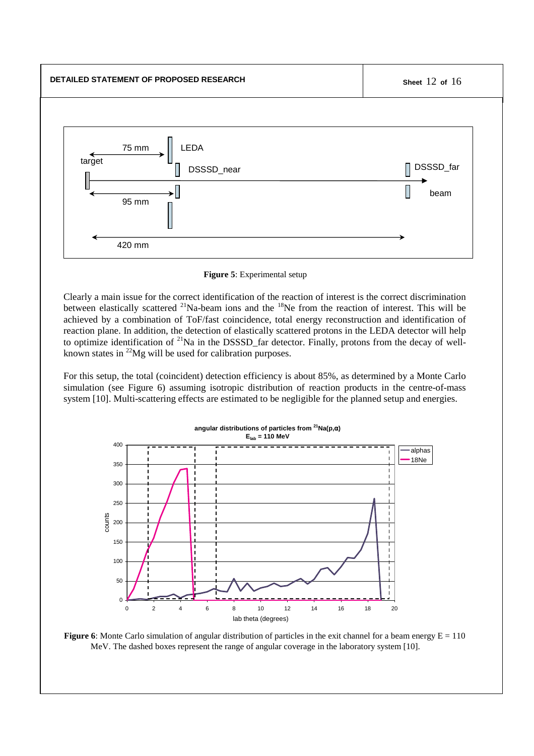

#### **Figure 5**: Experimental setup

Clearly a main issue for the correct identification of the reaction of interest is the correct discrimination between elastically scattered <sup>21</sup>Na-beam ions and the <sup>18</sup>Ne from the reaction of interest. This will be achieved by a combination of ToF/fast coincidence, total energy reconstruction and identification of reaction plane. In addition, the detection of elastically scattered protons in the LEDA detector will help to optimize identification of <sup>21</sup>Na in the DSSSD\_far detector. Finally, protons from the decay of wellknown states in  $^{22}Mg$  will be used for calibration purposes.

For this setup, the total (coincident) detection efficiency is about 85%, as determined by a Monte Carlo simulation (see Figure 6) assuming isotropic distribution of reaction products in the centre-of-mass system [10]. Multi-scattering effects are estimated to be negligible for the planned setup and energies.



**Figure 6**: Monte Carlo simulation of angular distribution of particles in the exit channel for a beam energy  $E = 110$ MeV. The dashed boxes represent the range of angular coverage in the laboratory system [10].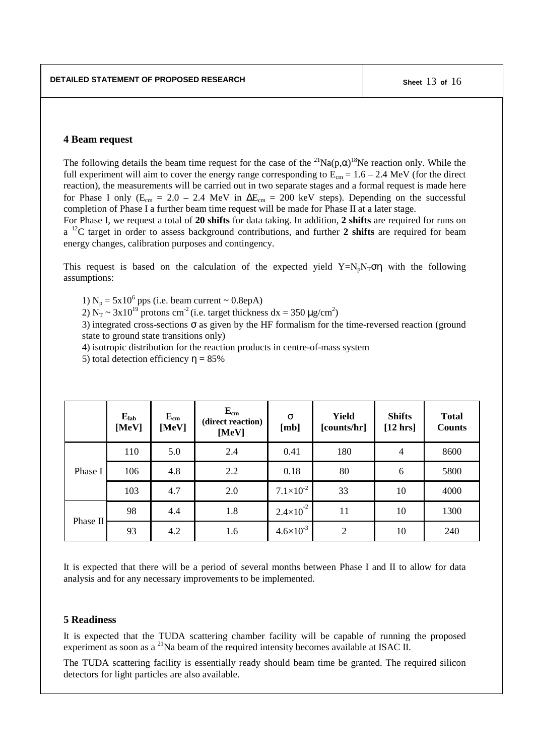### **4 Beam request**

The following details the beam time request for the case of the  ${}^{21}Na(p,\alpha){}^{18}Ne$  reaction only. While the full experiment will aim to cover the energy range corresponding to  $\overline{E}_{cm} = 1.6 - 2.4$  MeV (for the direct reaction), the measurements will be carried out in two separate stages and a formal request is made here for Phase I only ( $E_{cm} = 2.0 - 2.4$  MeV in  $\Delta E_{cm} = 200$  keV steps). Depending on the successful completion of Phase I a further beam time request will be made for Phase II at a later stage.

For Phase I, we request a total of **20 shifts** for data taking. In addition, **2 shifts** are required for runs on a <sup>12</sup>C target in order to assess background contributions, and further **2 shifts** are required for beam energy changes, calibration purposes and contingency.

This request is based on the calculation of the expected yield  $Y=N_pN_T\sigma\eta$  with the following assumptions:

1)  $N_p = 5x10^6$  pps (i.e. beam current ~ 0.8epA)

2)  $N_T \sim 3x10^{19}$  protons cm<sup>-2</sup> (i.e. target thickness dx = 350  $\mu$ g/cm<sup>2</sup>)

3) integrated cross-sections  $\sigma$  as given by the HF formalism for the time-reversed reaction (ground state to ground state transitions only)

4) isotropic distribution for the reaction products in centre-of-mass system

5) total detection efficiency  $\eta = 85\%$ 

|          | $E_{lab}$<br>[MeV] | $E_{cm}$<br>[MeV] | $E_{cm}$<br>(direct reaction)<br>[MeV] | $\sigma$<br>[mb]           | <b>Yield</b><br>[counts/hr] | <b>Shifts</b><br>[12 hrs] | <b>Total</b><br><b>Counts</b> |
|----------|--------------------|-------------------|----------------------------------------|----------------------------|-----------------------------|---------------------------|-------------------------------|
| Phase I  | 110                | 5.0               | 2.4                                    | 0.41                       | 180                         | $\overline{4}$            | 8600                          |
|          | 106                | 4.8               | 2.2                                    | 0.18                       | 80                          | 6                         | 5800                          |
|          | 103                | 4.7               | 2.0                                    | $7.1 \times 10^{-2}$       | 33                          | 10                        | 4000                          |
| Phase II | 98                 | 4.4               | 1.8                                    | $-2$<br>$2.4\times10^{-7}$ | 11                          | 10                        | 1300                          |
|          | 93                 | 4.2               | 1.6                                    | $4.6 \times 10^{-3}$       | $\overline{2}$              | 10                        | 240                           |

It is expected that there will be a period of several months between Phase I and II to allow for data analysis and for any necessary improvements to be implemented.

#### **5 Readiness**

It is expected that the TUDA scattering chamber facility will be capable of running the proposed experiment as soon as a  $^{21}$ Na beam of the required intensity becomes available at ISAC II.

The TUDA scattering facility is essentially ready should beam time be granted. The required silicon detectors for light particles are also available.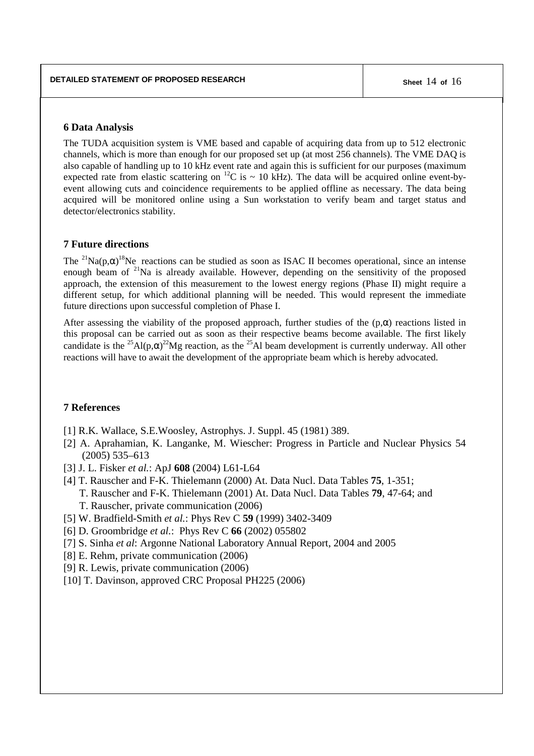#### **6 Data Analysis**

The TUDA acquisition system is VME based and capable of acquiring data from up to 512 electronic channels, which is more than enough for our proposed set up (at most 256 channels). The VME DAQ is also capable of handling up to 10 kHz event rate and again this is sufficient for our purposes (maximum expected rate from elastic scattering on <sup>12</sup>C is  $\sim$  10 kHz). The data will be acquired online event-byevent allowing cuts and coincidence requirements to be applied offline as necessary. The data being acquired will be monitored online using a Sun workstation to verify beam and target status and detector/electronics stability.

### **7 Future directions**

The <sup>21</sup>Na(p, $\alpha$ )<sup>18</sup>Ne reactions can be studied as soon as ISAC II becomes operational, since an intense enough beam of <sup>21</sup>Na is already available. However, depending on the sensitivity of the proposed approach, the extension of this measurement to the lowest energy regions (Phase II) might require a different setup, for which additional planning will be needed. This would represent the immediate future directions upon successful completion of Phase I.

After assessing the viability of the proposed approach, further studies of the  $(p,\alpha)$  reactions listed in this proposal can be carried out as soon as their respective beams become available. The first likely candidate is the <sup>25</sup>Al(p, $\alpha$ )<sup>22</sup>Mg reaction, as the <sup>25</sup>Al beam development is currently underway. All other reactions will have to await the development of the appropriate beam which is hereby advocated.

# **7 References**

- [1] R.K. Wallace, S.E.Woosley, Astrophys. J. Suppl. 45 (1981) 389.
- [2] A. Aprahamian, K. Langanke, M. Wiescher: Progress in Particle and Nuclear Physics 54 (2005) 535–613
- [3] J. L. Fisker *et al.*: ApJ **608** (2004) L61-L64
- [4] T. Rauscher and F-K. Thielemann (2000) At. Data Nucl. Data Tables **75**, 1-351; T. Rauscher and F-K. Thielemann (2001) At. Data Nucl. Data Tables **79**, 47-64; and T. Rauscher, private communication (2006)
- [5] W. Bradfield-Smith *et al.*: Phys Rev C **59** (1999) 3402-3409
- [6] D. Groombridge *et al.*: Phys Rev C **66** (2002) 055802
- [7] S. Sinha *et al*: Argonne National Laboratory Annual Report, 2004 and 2005
- [8] E. Rehm, private communication (2006)
- [9] R. Lewis, private communication (2006)
- [10] T. Davinson, approved CRC Proposal PH225 (2006)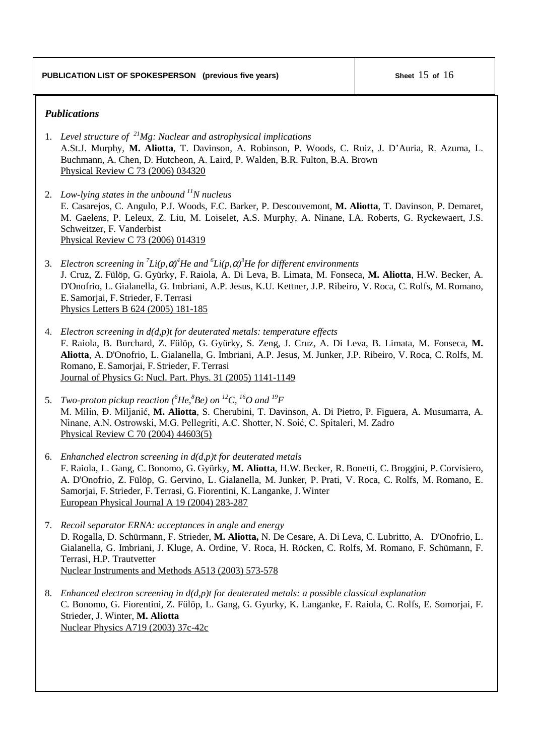# *Publications*

- 1. *Level structure of <sup>21</sup>Mg: Nuclear and astrophysical implications* A.St.J. Murphy, **M. Aliotta**, T. Davinson, A. Robinson, P. Woods, C. Ruiz, J. D'Auria, R. Azuma, L. Buchmann, A. Chen, D. Hutcheon, A. Laird, P. Walden, B.R. Fulton, B.A. Brown Physical Review C 73 (2006) 034320
- 2. *Low-lying states in the unbound <sup>11</sup>N nucleus* E. Casarejos, C. Angulo, P.J. Woods, F.C. Barker, P. Descouvemont, **M. Aliotta**, T. Davinson, P. Demaret, M. Gaelens, P. Leleux, Z. Liu, M. Loiselet, A.S. Murphy, A. Ninane, I.A. Roberts, G. Ryckewaert, J.S. Schweitzer, F. Vanderbist Physical Review C 73 (2006) 014319
- 3. *Electron screening in 7 Li(p,*α*) <sup>4</sup>He and 6 Li(p,*α*) <sup>3</sup>He for different environments* J. Cruz, Z. Fülöp, G. Gyürky, F. Raiola, A. Di Leva, B. Limata, M. Fonseca, **M. Aliotta**, H.W. Becker, A. D'Onofrio, L. Gialanella, G. Imbriani, A.P. Jesus, K.U. Kettner, J.P. Ribeiro, V. Roca, C. Rolfs, M. Romano, E. Samorjai, F. Strieder, F. Terrasi Physics Letters B 624 (2005) 181-185
- 4. *Electron screening in d(d,p)t for deuterated metals: temperature effects* F. Raiola, B. Burchard, Z. Fülöp, G. Gyürky, S. Zeng, J. Cruz, A. Di Leva, B. Limata, M. Fonseca, **M. Aliotta**, A. D'Onofrio, L. Gialanella, G. Imbriani, A.P. Jesus, M. Junker, J.P. Ribeiro, V. Roca, C. Rolfs, M. Romano, E. Samorjai, F. Strieder, F. Terrasi Journal of Physics G: Nucl. Part. Phys. 31 (2005) 1141-1149
- 5. *Two-proton pickup reaction ( <sup>6</sup>He, <sup>8</sup>Be) on <sup>12</sup>C, <sup>16</sup>O and <sup>19</sup>F* M. Milin, Đ. Miljanić, M. Aliotta, S. Cherubini, T. Davinson, A. Di Pietro, P. Figuera, A. Musumarra, A. Ninane, A.N. Ostrowski, M.G. Pellegriti, A.C. Shotter, N. Soić, C. Spitaleri, M. Zadro Physical Review C 70 (2004) 44603(5)
- 6. *Enhanched electron screening in d(d,p)t for deuterated metals* F. Raiola, L. Gang, C. Bonomo, G. Gyürky, **M. Aliotta**, H.W. Becker, R. Bonetti, C. Broggini, P. Corvisiero, A. D'Onofrio, Z. Fülöp, G. Gervino, L. Gialanella, M. Junker, P. Prati, V. Roca, C. Rolfs, M. Romano, E. Samorjai, F. Strieder, F. Terrasi, G. Fiorentini, K. Langanke, J. Winter European Physical Journal A 19 (2004) 283-287
- 7. *Recoil separator ERNA: acceptances in angle and energy* D. Rogalla, D. Schürmann, F. Strieder, **M. Aliotta,** N. De Cesare, A. Di Leva, C. Lubritto, A. D'Onofrio, L. Gialanella, G. Imbriani, J. Kluge, A. Ordine, V. Roca, H. Röcken, C. Rolfs, M. Romano, F. Schümann, F. Terrasi, H.P. Trautvetter Nuclear Instruments and Methods A513 (2003) 573-578
- 8. *Enhanced electron screening in d(d,p)t for deuterated metals: a possible classical explanation* C. Bonomo, G. Fiorentini, Z. Fülöp, L. Gang, G. Gyurky, K. Langanke, F. Raiola, C. Rolfs, E. Somorjai, F. Strieder, J. Winter, **M. Aliotta** Nuclear Physics A719 (2003) 37c-42c